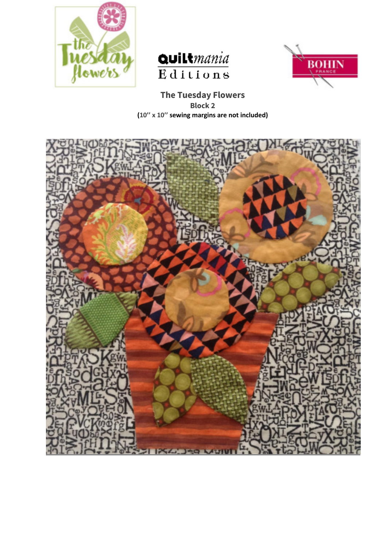





**The Tuesday Flowers Block 2 (10'' x 10'' sewing margins are not included)** 

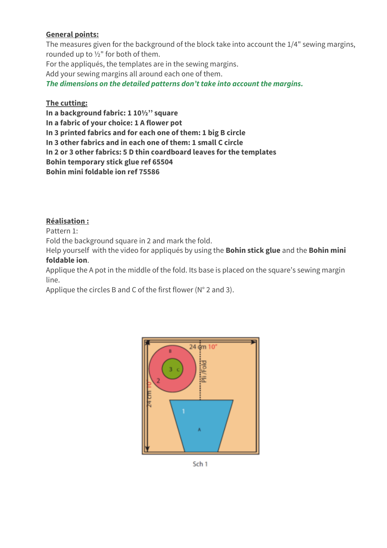## **General points:**

The measures given for the background of the block take into account the 1/4" sewing margins, rounded up to ½" for both of them. For the appliqués, the templates are in the sewing margins. Add your sewing margins all around each one of them. *The dimensions on the detailed patterns don't take into account the margins.* 

## **The cutting:**

**In a background fabric: 1 10½'' square In a fabric of your choice: 1 A flower pot In 3 printed fabrics and for each one of them: 1 big B circle In 3 other fabrics and in each one of them: 1 small C circle In 2 or 3 other fabrics: 5 D thin coardboard leaves for the templates Bohin temporary stick glue ref 65504 Bohin mini foldable ion ref 75586** 

## **Réalisation :**

Pattern 1:

Fold the background square in 2 and mark the fold.

Help yourself with the video for appliqués by using the **Bohin stick glue** and the **Bohin mini foldable ion**.

Applique the A pot in the middle of the fold. Its base is placed on the square's sewing margin line.

Applique the circles B and C of the first flower (N° 2 and 3).



Sch<sub>1</sub>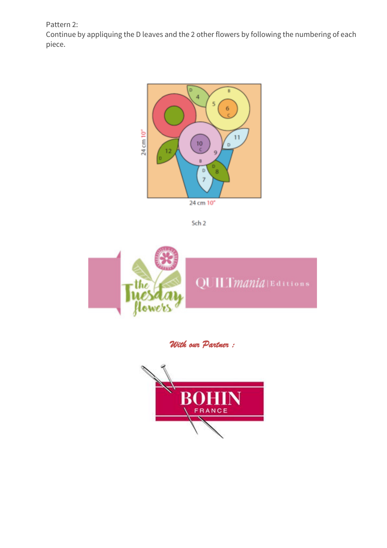Pattern 2:

Continue by appliquing the D leaves and the 2 other flowers by following the numbering of each piece.



Sch<sub>2</sub>



*With our Partner :*